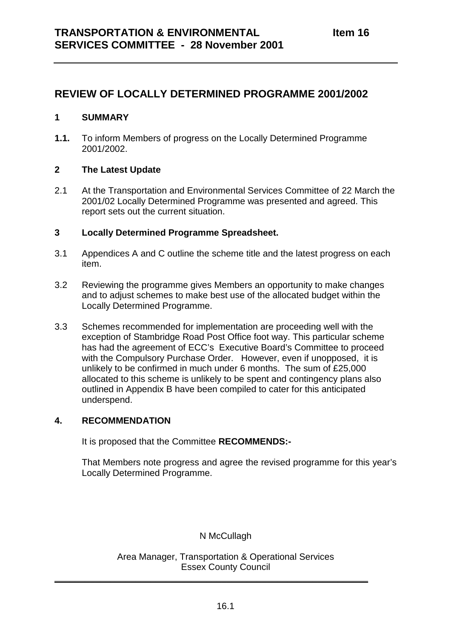# **REVIEW OF LOCALLY DETERMINED PROGRAMME 2001/2002**

### **1 SUMMARY**

**1.1.** To inform Members of progress on the Locally Determined Programme 2001/2002.

## **2 The Latest Update**

2.1 At the Transportation and Environmental Services Committee of 22 March the 2001/02 Locally Determined Programme was presented and agreed. This report sets out the current situation.

## **3 Locally Determined Programme Spreadsheet.**

- 3.1 Appendices A and C outline the scheme title and the latest progress on each item.
- 3.2 Reviewing the programme gives Members an opportunity to make changes and to adjust schemes to make best use of the allocated budget within the Locally Determined Programme.
- 3.3 Schemes recommended for implementation are proceeding well with the exception of Stambridge Road Post Office foot way. This particular scheme has had the agreement of ECC's Executive Board's Committee to proceed with the Compulsory Purchase Order. However, even if unopposed, it is unlikely to be confirmed in much under 6 months. The sum of £25,000 allocated to this scheme is unlikely to be spent and contingency plans also outlined in Appendix B have been compiled to cater for this anticipated underspend.

### **4. RECOMMENDATION**

It is proposed that the Committee **RECOMMENDS:-**

That Members note progress and agree the revised programme for this year's Locally Determined Programme.

### N McCullagh

Area Manager, Transportation & Operational Services Essex County Council

 $\frac{1}{2}$  ,  $\frac{1}{2}$  ,  $\frac{1}{2}$  ,  $\frac{1}{2}$  ,  $\frac{1}{2}$  ,  $\frac{1}{2}$  ,  $\frac{1}{2}$  ,  $\frac{1}{2}$  ,  $\frac{1}{2}$  ,  $\frac{1}{2}$  ,  $\frac{1}{2}$  ,  $\frac{1}{2}$  ,  $\frac{1}{2}$  ,  $\frac{1}{2}$  ,  $\frac{1}{2}$  ,  $\frac{1}{2}$  ,  $\frac{1}{2}$  ,  $\frac{1}{2}$  ,  $\frac{1$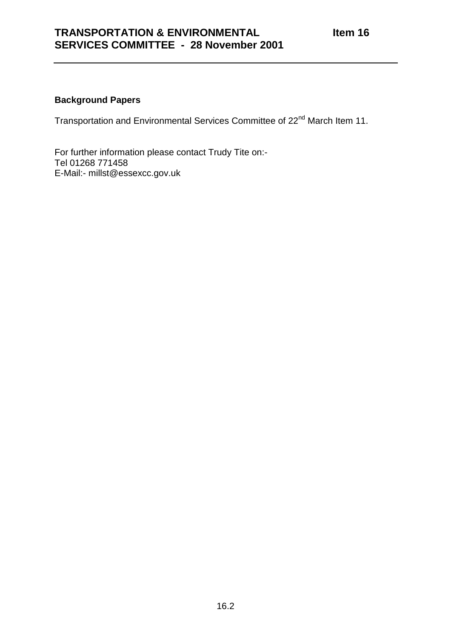## **Background Papers**

Transportation and Environmental Services Committee of 22<sup>nd</sup> March Item 11.

For further information please contact Trudy Tite on:- Tel 01268 771458 E-Mail:- millst@essexcc.gov.uk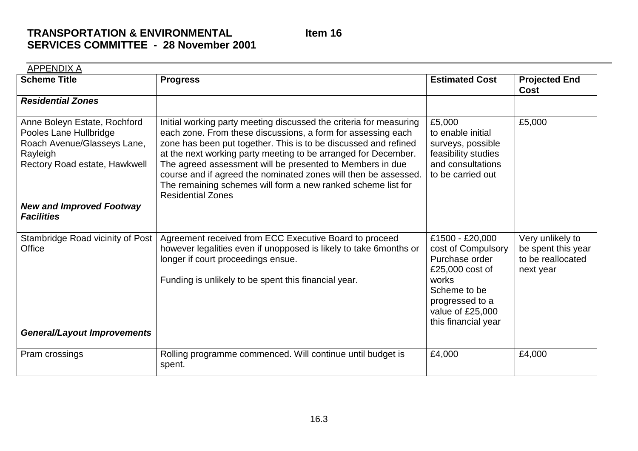# **TRANSPORTATION & ENVIRONMENTALSERVICES COMMITTEE - 28 November 2001**

APPENDIX A**Scheme Title Progress Estimated Cost Projected End Cost***Residential Zones*Anne Boleyn Estate, Rochford Pooles Lane Hullbridge Roach Avenue/Glasseys Lane, Rayleigh Rectory Road estate, Hawkwell Initial working party meeting discussed the criteria for measuring each zone. From these discussions, a form for assessing each zone has been put together. This is to be discussed and refined at the next working party meeting to be arranged for December. The agreed assessment will be presented to Members in due course and if agreed the nominated zones will then be assessed. The remaining schemes will form a new ranked scheme list for Residential Zones£5,000 to enable initialsurveys, possible feasibility studies and consultationsto be carried out£5,000 *New and Improved Footway Facilities*Stambridge Road vicinity of Post **Office** Agreement received from ECC Executive Board to proceed however legalities even if unopposed is likely to take 6months or longer if court proceedings ensue. Funding is unlikely to be spent this financial year. £1500 - £20,000 cost of Compulsory Purchase order£25,000 cost of worksScheme to beprogressed to a value of £25,000 this financial year Very unlikely to be spent this year to be reallocatednext year *General/Layout Improvements* Pram crossings Rolling programme commenced. Will continue until budget is spent. £4,000 £4,000

**Item 16**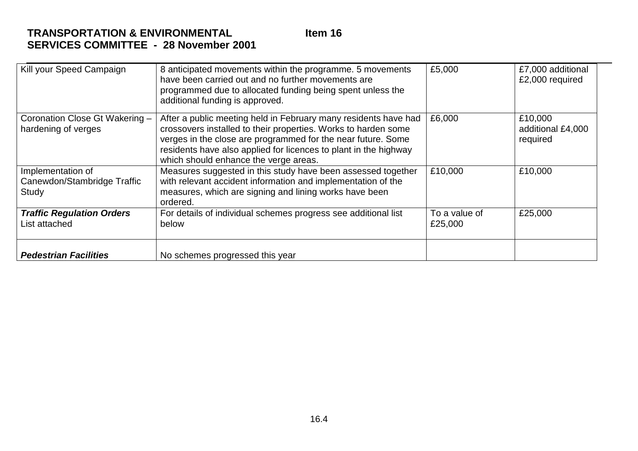# **TRANSPORTATION & ENVIRONMENTALSERVICES COMMITTEE - 28 November 2001**

| Kill your Speed Campaign                                  | 8 anticipated movements within the programme. 5 movements<br>have been carried out and no further movements are<br>programmed due to allocated funding being spent unless the<br>additional funding is approved.                                                                                               | £5,000                   | £7,000 additional<br>£2,000 required     |
|-----------------------------------------------------------|----------------------------------------------------------------------------------------------------------------------------------------------------------------------------------------------------------------------------------------------------------------------------------------------------------------|--------------------------|------------------------------------------|
| Coronation Close Gt Wakering -<br>hardening of verges     | After a public meeting held in February many residents have had<br>crossovers installed to their properties. Works to harden some<br>verges in the close are programmed for the near future. Some<br>residents have also applied for licences to plant in the highway<br>which should enhance the verge areas. | £6,000                   | £10,000<br>additional £4,000<br>required |
| Implementation of<br>Canewdon/Stambridge Traffic<br>Study | Measures suggested in this study have been assessed together<br>with relevant accident information and implementation of the<br>measures, which are signing and lining works have been<br>ordered.                                                                                                             | £10,000                  | £10,000                                  |
| <b>Traffic Regulation Orders</b><br>List attached         | For details of individual schemes progress see additional list<br>below                                                                                                                                                                                                                                        | To a value of<br>£25,000 | £25,000                                  |
| <b>Pedestrian Facilities</b>                              | No schemes progressed this year                                                                                                                                                                                                                                                                                |                          |                                          |

**Item 16**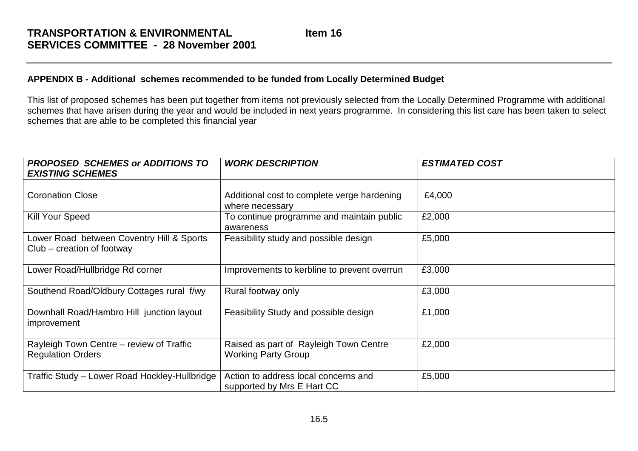### **APPENDIX B - Additional schemes recommended to be funded from Locally Determined Budget**

This list of proposed schemes has been put together from items not previously selected from the Locally Determined Programme with additional schemes that have arisen during the year and would be included in next years programme. In considering this list care has been taken to select schemes that are able to be completed this financial year

| <b>PROPOSED SCHEMES or ADDITIONS TO</b><br><b>EXISTING SCHEMES</b>        | <b>WORK DESCRIPTION</b>                                              | <b>ESTIMATED COST</b> |
|---------------------------------------------------------------------------|----------------------------------------------------------------------|-----------------------|
|                                                                           |                                                                      |                       |
| <b>Coronation Close</b>                                                   | Additional cost to complete verge hardening<br>where necessary       | £4,000                |
| <b>Kill Your Speed</b>                                                    | To continue programme and maintain public<br>awareness               | £2,000                |
| Lower Road between Coventry Hill & Sports<br>$Club - creation of footway$ | Feasibility study and possible design                                | £5,000                |
| Lower Road/Hullbridge Rd corner                                           | Improvements to kerbline to prevent overrun                          | £3,000                |
| Southend Road/Oldbury Cottages rural f/wy                                 | Rural footway only                                                   | £3,000                |
| Downhall Road/Hambro Hill junction layout<br>improvement                  | Feasibility Study and possible design                                | £1,000                |
| Rayleigh Town Centre - review of Traffic<br><b>Regulation Orders</b>      | Raised as part of Rayleigh Town Centre<br><b>Working Party Group</b> | £2,000                |
| Traffic Study - Lower Road Hockley-Hullbridge                             | Action to address local concerns and<br>supported by Mrs E Hart CC   | £5,000                |